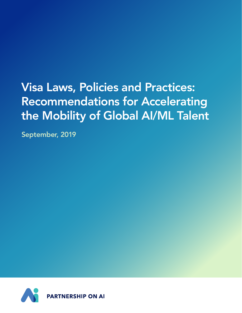# Visa Laws, Policies and Practices: Recommendations for Accelerating the Mobility of Global AI/ML Talent

September, 2019

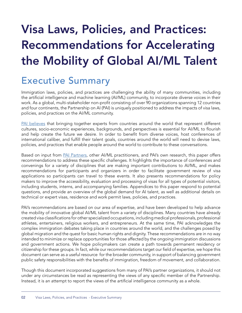# Visa Laws, Policies, and Practices: Recommendations for Accelerating the Mobility of Global AI/ML Talent

## Executive Summary

Immigration laws, policies, and practices are challenging the ability of many communities, including the artificial intelligence and machine learning (AI/ML) community, to incorporate diverse voices in their work. As a global, multi-stakeholder non-profit consisting of over 90 organizations spanning 12 countries and four continents, the Partnership on AI (PAI) is uniquely positioned to address the impacts of visa laws, policies, and practices on the AI/ML community.

[PAI believes](https://www.partnershiponai.org/tenets/) that bringing together experts from countries around the world that represent different cultures, socio-economic experiences, backgrounds, and perspectives is essential for AI/ML to flourish and help create the future we desire. In order to benefit from diverse voices, host conferences of international caliber, and fulfill their talent goals, countries around the world will need to devise laws, policies, and practices that enable people around the world to contribute to these conversations.

Based on input from [PAI Partners](https://www.partnershiponai.org/partners/), other AI/ML practitioners, and PAI's own research, this paper offers recommendations to address these specific challenges. It highlights the importance of conferences and convenings for a variety of disciplines that are making important contributions to AI/ML, and makes recommendations for participants and organizers in order to facilitate government review of visa applications so participants can travel to these events. It also presents recommendations for policy makers to improve the accessibility, evaluation and processing of visas for all types of potential visitors, including students, interns, and accompanying families. Appendices to this paper respond to potential questions, and provide an overview of the global demand for AI talent, as well as additional details on technical or expert visas, residence and work permit laws, policies, and practices.

PAI's recommendations are based on our area of expertise, and have been developed to help advance the mobility of innovative global AI/ML talent from a variety of disciplines. Many countries have already created visa classifications for other specialized occupations, including medical professionals, professional athletes, entertainers, religious workers, and entrepreneurs. At the same time, PAI acknowledges the complex immigration debates taking place in countries around the world, and the challenges posed by global migration and the quest for basic human rights and dignity. These recommendations are in no way intended to minimize or replace opportunities for those affected by the ongoing immigration discussions and government actions. We hope policymakers can create a path towards permanent residency or citizenship for these groups. In fact, while our recommendations target our field of expertise, we hope this document can serve as a useful resource for the broader community, in support of balancing government public safety responsibilities with the benefits of immigration, freedom of movement, and collaboration.

Though this document incorporated suggestions from many of PAI's partner organizations, it should not under any circumstances be read as representing the views of any specific member of the Partnership. Instead, it is an attempt to report the views of the artificial intelligence community as a whole.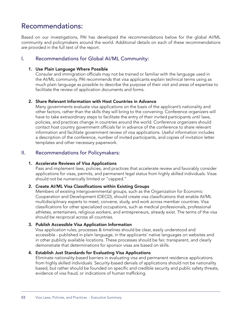### Recommendations:

Based on our investigations, PAI has developed the recommendations below for the global AI/ML community and policymakers around the world. Additional details on each of these recommendations are provided in the full text of the report.

#### I. Recommendations for Global AI/ML Community:

#### 1. Use Plain Language Where Possible

Consular and immigration officials may not be trained or familiar with the language used in the AI/ML community. PAI recommends that visa applicants explain technical terms using as much plain language as possible to describe the purpose of their visit and areas of expertise to facilitate the review of application documents and forms.

#### 2. Share Relevant Information with Host Countries in Advance

Many governments evaluate visa applications on the basis of the applicant's nationality and other factors, rather than the skills they will bring to the convening. Conference organizers will have to take extraordinary steps to facilitate the entry of their invited participants until laws, policies, and practices change in countries around the world. Conference organizers should contact host country government officials far in advance of the conference to share relevant information and facilitate government review of visa applications. Useful information includes a description of the conference, number of invited participants, and copies of invitation letter templates and other necessary paperwork.

#### II. Recommendations for Policymakers:

#### 1. Accelerate Reviews of Visa Applications

Pass and implement laws, policies, and practices that accelerate review and favorably consider applications for visas, permits, and permanent legal status from highly skilled individuals. Visas should not be numerically limited or "capped."

#### 2. Create AI/ML Visa Classifications within Existing Groups

Members of existing intergovernmental groups, such as the Organization for Economic Cooperation and Development (OECD), should create visa classifications that enable AI/ML multidisciplinary experts to meet, convene, study, and work across member countries. Visa classifications for other specialized occupations, such as medical professionals, professional athletes, entertainers, religious workers, and entrepreneurs, already exist. The terms of the visa should be reciprocal across all countries.

#### 3. Publish Accessible Visa Application Information

Visa application rules, processes & timelines should be clear, easily understood and accessible - published in plain language, in the applicants' native languages on websites and in other publicly available locations. These processes should be fair, transparent, and clearly demonstrate that determinations for sponsor visas are based on skills.

#### 4. Establish Just Standards for Evaluating Visa Applications

Eliminate nationality-based barriers in evaluating visa and permanent residence applications from highly skilled individuals. Security-based denials of applications should not be nationality based, but rather should be founded on specific and credible security and public safety threats, evidence of visa fraud, or indications of human trafficking.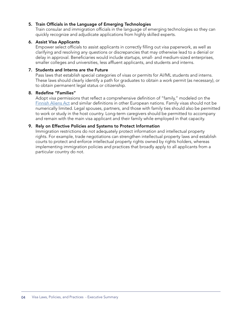#### 5. Train Officials in the Language of Emerging Technologies

Train consular and immigration officials in the language of emerging technologies so they can quickly recognize and adjudicate applications from highly skilled experts.

#### 6. Assist Visa Applicants

Empower select officials to assist applicants in correctly filling out visa paperwork, as well as clarifying and resolving any questions or discrepancies that may otherwise lead to a denial or delay in approval. Beneficiaries would include startups, small- and medium-sized enterprises, smaller colleges and universities, less affluent applicants, and students and interns.

#### 7. Students and Interns are the Future

Pass laws that establish special categories of visas or permits for AI/ML students and interns. These laws should clearly identify a path for graduates to obtain a work permit (as necessary), or to obtain permanent legal status or citizenship.

#### 8. Redefine "Families"

Adopt visa permissions that reflect a comprehensive definition of "family," modeled on the [Finnish Aliens Act](https://enterfinland.fi/eServices/info/familytiespermit) and similar definitions in other European nations. Family visas should not be numerically limited. Legal spouses, partners, and those with family ties should also be permitted to work or study in the host country. Long-term caregivers should be permitted to accompany and remain with the main visa applicant and their family while employed in that capacity.

#### 9. Rely on Effective Policies and Systems to Protect Information

Immigration restrictions do not adequately protect information and intellectual property rights. For example, trade negotiations can strengthen intellectual property laws and establish courts to protect and enforce intellectual property rights owned by rights holders, whereas implementing immigration policies and practices that broadly apply to all applicants from a particular country do not.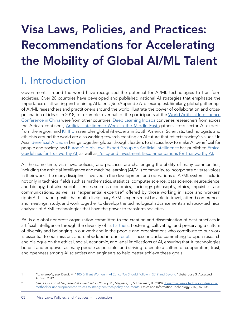# Visa Laws, Policies, and Practices: Recommendations for Accelerating the Mobility of Global AI/ML Talent

## I. Introduction

Governments around the world have recognized the potential for AI/ML technologies to transform societies. Over 20 countries have developed and published national AI strategies that emphasize the importance of attracting and retaining AI talent. (See Appendix A for examples). Similarly, global gatherings of AI/ML researchers and practitioners around the world illustrate the power of collaboration and cross-pollination of ideas. In 2018, for example, over half of the participants at the [World Artificial Intelligence](https://www.shine.cn/biz/tech/1809111911/) [Conference in China](https://www.shine.cn/biz/tech/1809111911/) were from other countries. [Deep Learning Indaba](http://www.deeplearningindaba.com/) convenes researchers from across the African continent, [Artificial Intelligence Week in the Middle East g](https://www.aiia.net/events-aiweek/speakers)athers cross-sector AI experts from the region, and [KHIPU](https://khipu.ai/#widecard) assembles global AI experts in South America. Scientists, technologists and ethicists around the world are also working towards creating an AI future that reflects society's values.1 In Asia, [Beneficial AI Japan](http://bai-japan.org/) brings together global thought leaders to discuss how to make AI beneficial for people and society, and [Europe's High Level Expert Group on Artificial Intelligence](https://ec.europa.eu/digital-single-market/en/high-level-expert-group-artificial-intelligence) has published Ethical [Guidelines for Trustworthy AI](https://ec.europa.eu/digital-single-market/en/news/ethics-guidelines-trustworthy-ai) as well as [Policy and Investment Recommendations for Trustworthy AI.](https://ec.europa.eu/digital-single-market/en/news/policy-and-investment-recommendations-trustworthy-artificial-intelligence)

At the same time, visa laws, policies, and practices are challenging the ability of many communities, including the artificial intelligence and machine learning (AI/ML) community, to incorporate diverse voices in their work. The many disciplines involved in the development and operations of AI/ML systems include not only in technical fields such as mathematics, statistics, computer science, data science, neuroscience, and biology, but also social sciences such as economics, sociology, philosophy, ethics, linguistics, and communications, as well as "experiential expertise" offered by those working in labor and workers' rights.<sup>2</sup> This paper posits that multi-disciplinary AI/ML experts must be able to travel, attend conferences and meetings, study, and work together to develop the technological advancements and socio-technical analyses of AI/ML technologies that have the power to transform societies.

PAI is a global nonprofit organization committed to the creation and dissemination of best practices in artificial intelligence through the diversity of its [Partners.](https://www.partnershiponai.org/partners/) Fostering, cultivating, and preserving a culture of diversity and belonging in our work and in the people and organizations who contribute to our work is essential to our mission, and embedded in our [Tenets.](https://www.partnershiponai.org/tenets/) These include: committing to open research and dialogue on the ethical, social, economic, and legal implications of AI, ensuring that AI technologies benefit and empower as many people as possible, and striving to create a culture of cooperation, trust, and openness among AI scientists and engineers to help better achieve these goals.

<sup>1</sup> For example, see: Dand, M. ["100 Brilliant Women in AI Ethics You Should Follow in 2019 and Beyond](https://lighthouse3.com/our-blog/100-brilliant-women-in-ai-ethics-you-should-follow-in-2019-and-beyond/)" Lighthouse 3. Accessed August, 2019.

<sup>2</sup> See discussion of "experiential expertise" in: Young, M., Magassa, L., & Friedman, B. (2019). Toward inclusive tech policy design: a [method for underrepresented voices to strengthen tech policy documents](https://techpolicylab.uw.edu/wp-content/uploads/2019/03/TowardInclusiveTechPolicyDesign.pdf). Ethics and Information Technology, 21(2), 89-103.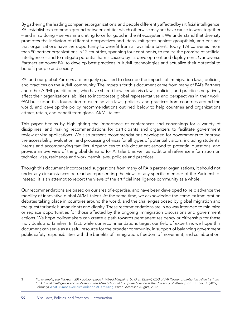By gathering the leading companies, organizations, and people differently affected by artificial intelligence, PAI establishes a common ground between entities which otherwise may not have cause to work together – and in so doing – serves as a uniting force for good in the AI ecosystem. We understand that diversity promotes the inclusion of different perspectives and ideas, mitigates against groupthink, and ensures that organizations have the opportunity to benefit from all available talent. Today, PAI convenes more than 90 partner organizations in 12 countries, spanning four continents, to realize the promise of artificial intelligence – and to mitigate potential harms caused by its development and deployment. Our diverse Partners empower PAI to develop best practices in AI/ML technologies and actualize their potential to benefit people and society.

PAI and our global Partners are uniquely qualified to describe the impacts of immigration laws, policies, and practices on the AI/ML community. The impetus for this document came from many of PAI's Partners and other AI/ML practitioners, who have shared how certain visa laws, policies, and practices negatively affect their organizations' abilities to incorporate global representatives and perspectives in their work. 3 PAI built upon this foundation to examine visa laws, policies, and practices from countries around the world, and develop the policy recommendations outlined below to help countries and organizations attract, retain, and benefit from global AI/ML talent.

This paper begins by highlighting the importance of conferences and convenings for a variety of disciplines, and making recommendations for participants and organizers to facilitate government review of visa applications. We also present recommendations developed for governments to improve the accessibility, evaluation, and processing of visas for all types of potential visitors, including students, interns and accompanying families. Appendices to this document espond to potential questions, and provide an overview of the global demand for AI talent, as well as additional reference information on technical visa, residence and work permit laws, policies and practices.

Though this document incorporated suggestions from many of PAI's partner organizations, it should not under any circumstances be read as representing the views of any specific member of the Partnership. Instead, it is an attempt to report the views of the artificial intelligence community as a whole.

Our recommendations are based on our area of expertise, and have been developed to help advance the mobility of innovative global AI/ML talent. At the same time, we acknowledge the complex immigration debates taking place in countries around the world, and the challenges posed by global migration and the quest for basic human rights and dignity. These recommendations are in no way intended to minimize or replace opportunities for those affected by the ongoing immigration discussions and government actions. We hope policymakers can create a path towards permanent residency or citizenship for these individuals and families. In fact, while our recommendations target our field of expertise, we hope this document can serve as a useful resource for the broader community, in support of balancing government public safety responsibilities with the benefits of immigration, freedom of movement, and collaboration.

<sup>3</sup> For example, see February, 2019 opinion piece in Wired Magazine by Oren Etzioni, CEO of PAI Partner organization, Allen Institute for Artificial Intelligence and professor in the Allen School of Computer Science at the University of Washington. Etzioni, O. (2019, February) [What Trumps executive order on AI is missing.](https://www.wired.com/story/what-trumps-executive-order-on-ai-is-missing/) Wired. Accessed August, 2019.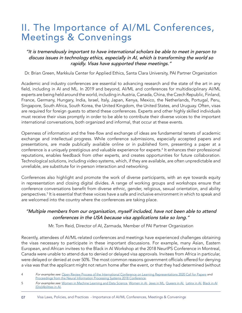## II. The Importance of AI/ML Conferences, Meetings & Convenings

"It is tremendously important to have international scholars be able to meet in person to discuss issues in technology ethics, especially in AI, which is transforming the world so rapidly. Visas have supported these meetings."

Dr. Brian Green, Markkula Center for Applied Ethics, Santa Clara University, PAI Partner Organization

Academic and industry conferences are essential to advancing research and the state of the art in any field, including in AI and ML. In 2019 and beyond, AI/ML and conferences for multidisciplinary AI/ML experts are being held around the world, including in Austria, Canada, China, the Czech Republic, Finland, France, Germany, Hungary, India, Israel, Italy, Japan, Kenya, Mexico, the Netherlands, Portugal, Peru, Singapore, South Africa, South Korea, the United Kingdom, the United States, and Uruguay. Often, visas are required for foreign guests to attend these conferences. Experts and other highly skilled individuals must receive their visas promptly in order to be able to contribute their diverse voices to the important international conversations, both organized and informal, that occur at these events.

Openness of information and the free-flow and exchange of ideas are fundamental tenets of academic exchange and intellectual progress. While conference submissions, especially accepted papers and presentations, are made publically available online or in published form, presenting a paper at a conference is a uniquely prestigious and valuable experience for experts.<sup>4</sup> It enhances their professional reputations, enables feedback from other experts, and creates opportunities for future collaboration. Technological solutions, including video systems, which, if they are available, are often unpredictable and unreliable, are substitute for in-person interaction and networking.

Conferences also highlight and promote the work of diverse participants, with an eye towards equity in representation and closing digital divides. A range of working groups and workshops ensure that conference conversations benefit from diverse ethnic, gender, religious, sexual orientation, and ability perspectives.5 It is essential that these voices have a safe and inclusive environment in which to speak and are welcomed into the country where the conferences are taking place.

#### "Multiple members from our organisation, myself included, have not been able to attend conferences in the USA because visa applications take so long."

Mr. Tom Reid, Director of AI, Zarmada, Member of PAI Partner Organization

Recently, attendees of AI/ML-related conferences and meetings have experienced challenges obtaining the visas necessary to participate in these important discussions. For example, many Asian, Eastern European, and African invitees to the Black in AI Workshop at the 2018 NeurIPS Conference in Montreal, Canada were unable to attend due to denied or delayed visa approvals. Invitees from Africa in particular, were delayed or denied at over 50%. The most common reasons government officials offered for denying a visa was that the applicant might not return home after the event, or that they had determined (without

07 Visa Laws, Policies, and Practices - Importance of AI/ML Conferences, Meetings & Convenings

<sup>4</sup> For examples see: [Open Review Process of the International Conference on Learning Representations 2020 Call for Papers](https://iclr.cc/Conferences/2020/CallForPapers) and [Proceedings from the Neural Information Processing Systems 2018 Conference](https://papers.nips.cc/book/advances-in-neural-information-processing-systems-31-2018).

<sup>5</sup> For examples see: [Women in Machine Learning and Data Science](http://wimlds.org/), [Women in AI](https://www.womeninai.co/), [Jews in ML](https://www.cs.bgu.ac.il/~mlt142/JIML), [Queers in AI,](https://queerai.github.io/QueerInAI/QinAIatNeurIPS.html) [Latinx in AI](https://www.latinxinai.org/), [Black in AI](https://blackinai.github.io/) [{Dis}Abilities in AI](https://elesa.github.io/ability_in_AI/),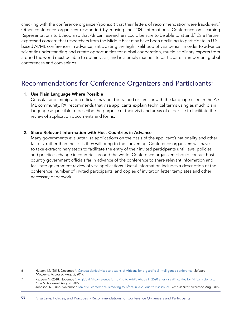checking with the conference organizer/sponsor) that their letters of recommendation were fraudulent.<sup>6</sup> Other conference organizers responded by moving the 2020 International Conference on Learning Representations to Ethiopia so that African researchers could be sure to be able to attend.<sup>7</sup> One Partner expressed concern that researchers from the Middle East may have been declining to participate in U.S. based AI/ML conferences in advance, anticipating the high likelihood of visa denial. In order to advance scientific understanding and create opportunities for global cooperation, multidisciplinary experts from around the world must be able to obtain visas, and in a timely manner, to participate in important global conferences and convenings.

### Recommendations for Conference Organizers and Participants:

#### 1. Use Plain Language Where Possible

Consular and immigration officials may not be trained or familiar with the language used in the AI/ ML community. PAI recommends that visa applicants explain technical terms using as much plain language as possible to describe the purpose of their visit and areas of expertise to facilitate the review of application documents and forms.

#### 2. Share Relevant Information with Host Countries in Advance

Many governments evaluate visa applications on the basis of the applicant's nationality and other factors, rather than the skills they will bring to the convening. Conference organizers will have to take extraordinary steps to facilitate the entry of their invited participants until laws, policies, and practices change in countries around the world. Conference organizers should contact host country government officials far in advance of the conference to share relevant information and facilitate government review of visa applications. Useful information includes a description of the conference, number of invited participants, and copies of invitation letter templates and other necessary paperwork.

6 Hutson, M. (2018, December). [Canada denied visas to dozens of Africans for big artificial intelligence conference](https://www.sciencemag.org/news/2018/12/canada-denied-visas-dozens-africans-big-artificial-intelligence-conference). Science Magazine. Accessed August, 2019.

7 Kazeem, Y. (2018, November). [A global AI conference is moving to Addis Ababa in 2020 after visa difficulties for African scientists](https://qz.com/africa/1474336/african-scientists-difficulty-with-visas-for-global-conferences/) Quartz. Accessed August, 2019. Johnson, K. (2018, November) [Major AI conference is moving to Africa in 2020 due to visa issues.](https://venturebeat.com/2018/11/19/major-ai-conference-is-moving-to-africa-in-2020-due-to-visa-issues/) Venture Beat. Accessed Aug. 2019.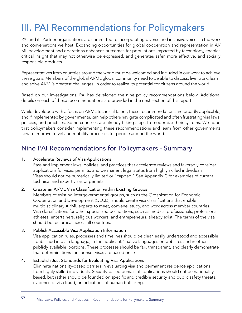## III. PAI Recommendations for Policymakers

PAI and its Partner organizations are committed to incorporating diverse and inclusive voices in the work and conversations we host. Expanding opportunities for global cooperation and representation in AI/ ML development and operations enhances outcomes for populations impacted by technology, enables critical insight that may not otherwise be expressed, and generates safer, more effective, and socially responsible products.

Representatives from countries around the world must be welcomed and included in our work to achieve these goals. Members of the global AI/ML global community need to be able to discuss, live, work, learn, and solve AI/ML's greatest challenges, in order to realize its potential for citizens around the world.

Based on our investigations, PAI has developed the nine policy recommendations below. Additional details on each of these recommendations are provided in the next section of this report.

While developed with a focus on AI/ML technical talent, these recommendations are broadly applicable, and if implemented by governments, can help others navigate complicated and often frustrating visa laws, policies, and practices. Some countries are already taking steps to modernize their systems. We hope that policymakers consider implementing these recommendations and learn from other governments how to improve travel and mobility processes for people around the world.

### Nine PAI Recommendations for Policymakers - Summary

#### 1. Accelerate Reviews of Visa Applications

Pass and implement laws, policies, and practices that accelerate reviews and favorably consider applications for visas, permits, and permanent legal status from highly skilled individuals. Visas should not be numerically limited or "capped." See Appendix C for examples of current technical and expert visas or permits.

#### 2. Create an AI/ML Visa Classification within Existing Groups

Members of existing intergovernmental groups, such as the Organization for Economic Cooperation and Development (OECD), should create visa classifications that enable multidisciplinary AI/ML experts to meet, convene, study, and work across member countries. Visa classifications for other specialized occupations, such as medical professionals, professional athletes, entertainers, religious workers, and entrepreneurs, already exist. The terms of the visa should be reciprocal across all countries.

#### 3. Publish Accessible Visa Application Information

Visa application rules, processes and timelines should be clear, easily understood and accessible - published in plain language, in the applicants' native languages on websites and in other publicly available locations. These processes should be fair, transparent, and clearly demonstrate that determinations for sponsor visas are based on skills.

#### 4. Establish Just Standards for Evaluating Visa Applications

Eliminate nationality-based barriers in evaluating visa and permanent residence applications from highly skilled individuals. Security-based denials of applications should not be nationality based, but rather should be founded on specific and credible security and public safety threats, evidence of visa fraud, or indications of human trafficking.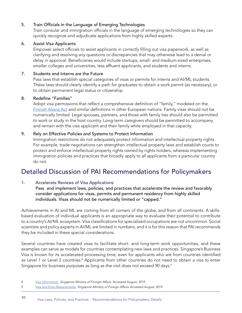#### 5. Train Officials in the Language of Emerging Technologies

Train consular and immigration officials in the language of emerging technologies so they can quickly recognize and adjudicate applications from highly skilled experts.

#### 6. Assist Visa Applicants

Empower select officials to assist applicants in correctly filling out visa paperwork, as well as clarifying and resolving any questions or discrepancies that may otherwise lead to a denial or delay in approval. Beneficiaries would include startups, small- and medium-sized enterprises, smaller colleges and universities, less affluent applicants, and students and interns.

#### 7. Students and Interns are the Future

Pass laws that establish special categories of visas or permits for interns and AI/ML students. These laws should clearly identify a path for graduates to obtain a work permit (as necessary), or to obtain permanent legal status or citizenship.

#### 8. Redefine "Families"

Adopt visa permissions that reflect a comprehensive definition of "family," modeled on the [Finnish Aliens Act](https://enterfinland.fi/eServices/info/familytiespermit) and similar definitions in other European nations. Family visas should not be numerically limited. Legal spouses, partners, and those with family ties should also be permitted to work or study in the host country. Long-term caregivers should be permitted to accompany and remain with the visa applicant and their family while employed in that capacity.

#### 9. Rely on Effective Policies and Systems to Protect Information

Immigration restrictions do not adequately protect information and intellectual property rights. For example, trade negotiations can strengthen intellectual property laws and establish courts to protect and enforce intellectual property rights owned by rights holders, whereas implementing immigration policies and practices that broadly apply to all applicants from a particular country do not.

### Detailed Discussion of PAI Recommendations for Policymakers

#### 1. Accelerate Reviews of Visa Applications

Pass and implement laws, policies, and practices that accelerate the review and favorably consider applications for visas, permits and permanent residency from highly skilled individuals. Visas should not be numerically limited or "capped."

Achievements in AI and ML are coming from all corners of the globe, and from all continents. A skillsbased evaluation of individual applicants is an appropriate way to evaluate their potential to contribute to a country's AI/ML ecosystem. Visa classifications for specialized occupations are not uncommon. Social scientists and policy experts in AI/ML are limited in numbers, and it is for this reason that PAI recommends they be included in these special considerations.

Several countries have created visas to facilitate short- and long-term work opportunities, and these examples can serve as models for countries contemplating new laws and practices. Singapore's Business Visa is known for its accelerated processing time, even for applicants who are from countries identified as Level 1 or Level 2 countries.<sup>8</sup> Applicants from other countries do not need to obtain a visa to enter Singapore for business purposes as long as the visit does not exceed 90 days.<sup>9</sup>

<sup>8</sup> [Visa Information.](https://www.mfa.gov.sg/Overseas-Mission/New-Delhi/Consular-Services/Visa-Information) Singapore Ministry of Foreign Affairs. Accessed August, 2019.

<sup>9</sup> [Visa and Entry Requirements.](https://www.mfa.gov.sg/Overseas-Mission/Washington/Visa-and-Entry-Requirements) Singapore Ministry of Foreign Affairs. Accessed August, 2019.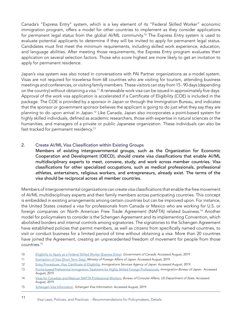Canada's "Express Entry" system, which is a key element of its "Federal Skilled Worker" economic immigration program, offers a model for other countries to implement as they consider applications for permanent legal status from the global AI/ML community.<sup>10</sup> The Express Entry system is used to evaluate potential applicants to determine if they will be invited to apply for permanent legal status. Candidates must first meet the minimum requirements, including skilled work experience, education, and language abilities. After meeting those requirements, the Express Entry program evaluates their application on several selection factors. Those who score highest are more likely to get an invitation to apply for permanent residence.

Japan's visa system was also noted in conversations with PAI Partner organizations as a model system. Visas are not required for travelersa from 68 countries who are visiting for tourism, attending business meetings and conferences, or visiting family members. These visitors can stay from 15 - 90 days (depending on the country) without obtaining a visa.11 A renewable work visa can be issued in approximately five days. Approval of the work visa application is accelerated if a Certificate of Eligibility (COE) is included in the package. The COE is provided by a sponsor in Japan or through the Immigration Bureau, and indicates that the sponsor or government sponsor believes the applicant is going to do just what they say they are planning to do upon arrival in Japan.12 Like Canada, Japan also incorporates a point-based system for highly skilled individuals, defined as academic researchers, those with expertise in natural sciences or the humanities, and managers of a private or public Japanese organization. These individuals can also be fast-tracked for permanent residency.<sup>13</sup>

#### 2. Create AI/ML Visa Classification within Existing Groups

Members of existing intergovernmental groups, such as the Organization for Economic Cooperation and Development (OECD), should create visa classifications that enable AI/ML multidisciplinary experts to meet, convene, study, and work across member countries. Visa classifications for other specialized occupations, such as medical professionals, professional athletes, entertainers, religious workers, and entrepreneurs, already exist. The terms of the visa should be reciprocal across all member countries.

Members of intergovernmental organizations can create visa classifications that enable the free movement of AI/ML multidisciplinary experts and their family members across participating countries. This concept is embedded in existing arrangements among certain countries but can be improved upon. For instance, the United States created a visa for professionals from Canada or Mexico who are working for U.S. or foreign companies on North American Free Trade Agreement (NAFTA) related business.14 Another model for policymakers to consider is the Schengen Agreement and its implementing Convention, which abolished borders and internal controls among signatories. The signatories to the Schengen Agreement have established policies that permit members, as well as citizens from specifically named countries, to visit or conduct business for a limited period of time without obtaining a visa. More than 20 countries have joined the Agreement, creating an unprecedented freedom of movement for people from those countries.<sup>15</sup>

<sup>10</sup> [Eligibility to Apply as a Federal Skilled Worker \(Express Entry\)](https://www.canada.ca/en/immigration-refugees-citizenship/services/immigrate-canada/express-entry/eligibility/ federal-skilled-workers.html). Government of Canada. Accessed August, 2019.

<sup>11</sup> [Exemption of Visa \(Short Term Stay\).](https://www.mofa.go.jp/j_info/visit/visa/short/novisa.html) Ministry of Foreign Affairs of Japan. Accessed August, 2019.

<sup>12</sup> [Entry Procedures, Visa, Certificate of Eligibility.](http://www.immi-moj.go.jp/english/tetuduki/kanri/visa.html) Immigrations Services Agency of Japan. Accessed August, 2019.

<sup>13</sup> [Points-based Preferential Immigration Treatment for Highly Skilled Foreign Professionals.](http://www.immi-moj.go.jp/newimmiact_3/en/index.html) Immigration Bureau of Japan. Accessed August, 2019.

<sup>14</sup> [Visas for Canadian and Mexican NAFTA Professional Workers.](https://travel.state.gov/content/travel/en/us-visas/employment/visas-canadian-mexican-nafta-professional-workers.html) Bureau of Consular Affairs, US Department of State. Accessed August, 2019.

<sup>15</sup> [Schengen Visa Information.](https://www.schengenvisainfo.com/) Schengen Visa Information. Accessed August, 2019.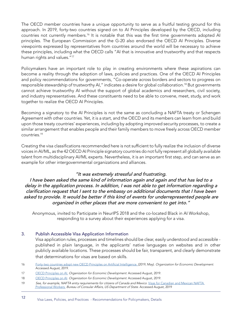The OECD member countries have a unique opportunity to serve as a fruitful testing ground for this approach. In 2019, forty-two countries signed on to AI Principles developed by the OECD, including countries not currently members.16 It is notable that this was the first time governments adopted AI principles. The European Commission and the G-20 also endorsed the OECD AI Principles. Diverse viewpoints expressed by representatives from countries around the world will be necessary to achieve these principles, including what the OECD calls "AI that is innovative and trustworthy and that respects human rights and values."<sup>17</sup>

Policymakers have an important role to play in creating environments where these aspirations can become a reality through the adoption of laws, policies and practices. One of the OECD AI Principles and policy recommendations for governments, "Co-operate across borders and sectors to progress on responsible stewardship of trustworthy AI," indicates a desire for global collaboration.18 But governments cannot achieve trustworthy AI without the support of global academics and researchers, civil society, and industry representatives. And these constituents need to be able to convene, meet, study, and work together to realize the OECD AI Principles.

Becoming a signatory to the AI Principles is not the same as concluding a NAFTA treaty or Schengen Agreement with other countries. Yet, it is a start, and the OECD and its members can learn from and build upon those treaty countries' experiences, including by adopting improved security processes, to create a similar arrangement that enables people and their family members to move freely across OECD member countries.<sup>19</sup>

Creating the visa classifications recommended here is not sufficient to fully realize the inclusion of diverse voices in AI/ML, as the 42 OECD AI Principle signatory countries do not fully represent all globally available talent from multidisciplinary AI/ML experts. Nevertheless, it is an important first step, and can serve as an example for other intergovernmental organizations and alliances.

#### "It was extremely stressful and frustrating.

I have been asked the same kind of information again and again and that has led to a delay in the application process. In addition, I was not able to get information regarding a clarification request that I sent to the embassy on additional documents that I have been asked to provide. It would be better if this kind of events for underrepresented people are organized in other places that are more convenient to get into."

Anonymous, invited to Participate in NeurIPS 2018 and the co-located Black in AI Workshop, responding to a survey about their experiences applying for a visa.

#### 3. Publish Accessible Visa Application Information

Visa application rules, processes and timelines should be clear, easily understood and accessible published in plain language, in the applicants' native languages on websites and in other publicly available locations. These processes should be fair, transparent, and clearly demonstrate that determinations for visas are based on skills.

- 16 [Forty-two countries adopt new OECD Principles on Artificial Intelligence. \(](https://www.oecd.org/going-digital/forty-two-countries-adopt-new-oecd-principles-on-artificial-intelligence.htm)2019, May). Organization for Economic Development. Accessed August, 2019.
- 17 OECD Principles on AL Organization for Economic Development. Accessed August, 2019.
- 18 OECD Principles on Al. Organization for Economic Development. Accessed August, 2019.
- 19 See, for example, NAFTA entry requirements for citizens of Canada and Mexico. Visas for Canadian and Mexican NAFTA [Professional Workers.](https://travel.state.gov/content/travel/en/us-visas/employment/visas-canadian-mexican-nafta-professional-workers.html) Bureau of Consular Affairs, US Department of State. Accessed August, 2019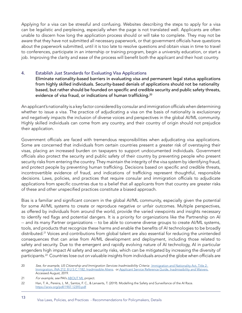Applying for a visa can be stressful and confusing. Websites describing the steps to apply for a visa can be legalistic and perplexing, especially when the page is not translated well. Applicants are often unable to discern how long the application process should or will take to complete. They may not be aware that they have not submitted all necessary paperwork, or that government officials have questions about the paperwork submitted, until it is too late to resolve questions and obtain visas in time to travel to conferences, participate in an internship or training program, begin a university education, or start a job. Improving the clarity and ease of the process will benefit both the applicant and their host country.

#### 4. Establish Just Standards for Evaluating Visa Applications

Eliminate nationality-based barriers in evaluating visa and permanent legal status applications from highly skilled individuals. Security-based denials of applications should not be nationality based, but rather should be founded on specific and credible security and public safety threats, evidence of visa fraud, or indications of human trafficking.<sup>20</sup>

An applicant's nationality is a key factor considered by consular and immigration officials when determining whether to issue a visa. The practice of adjudicating a visa on the basis of nationality is exclusionary and negatively impacts the inclusion of diverse voices and perspectives in the global AI/ML community. Highly skilled individuals can come from any country, and their country of origin should not prejudice their application.

Government officials are faced with tremendous responsibilities when adjudicating visa applications. Some are concerned that individuals from certain countries present a greater risk of overstaying their visas, placing an increased burden on taxpayers to support undocumented individuals. Government officials also protect the security and public safety of their country by preventing people who present security risks from entering the country. They maintain the integrity of the visa system by identifying fraud, and protect people by preventing human trafficking. Decisions based on specific and credible threats, incontrovertible evidence of fraud, and indications of trafficking represent thoughtful, responsible decisions. Laws, policies, and practices that require consular and immigration officials to adjudicate applications from specific countries due to a belief that all applicants from that country are greater risks of these and other unspecified practices constitute a biased approach.

Bias is a familiar and significant concern in the global AI/ML community, especially given the potential for some AI/ML systems to create or reproduce negative or unfair outcomes. Multiple perspectives, as offered by individuals from around the world, provide the varied viewpoints and insights necessary to identify red flags and potential dangers. It is a priority for organizations like the Partnership on AI -- and its many Partner organizations -- to be able to convene diverse groups to create AI/ML systems, tools, and products that recognize these harms and enable the benefits of AI technologies to be broadly distributed.<sup>21</sup> Voices and contributions from global talent are also essential for reducing the unintended consequences that can arise from AI/ML development and deployment, including those related to safety and security. Due to the emergent and rapidly evolving nature of AI technology, AI in particular engenders high impact AI safety and security risks, which can be mitigated by increasing the diversity of participants.22 Countries lose out on valuable insights from individuals around the globe when officials are

- 20 See, for example, US Citizenship and Immigration Services Inadmissibility Criteria: [Immigration and Nationality Act, Title 2:](https://uscode.house.gov/view.xhtml?req=granuleid:USC-prelim-title8-section1182&num=0&edition=prelim)  [Immigration, INA 212, 8 U.S.C.1182, Inadmissible Aliens](https://uscode.house.gov/view.xhtml?req=granuleid:USC-prelim-title8-section1182&num=0&edition=prelim). or [Applicant Service Reference Guide, Inadmissibility and Waivers.](https://www.uscis.gov/about-us/electronic-reading-room/applicant-service-reference-guide) Accessed August, 2019.
- 21 For example, see PAI's [ABOUT ML](https://www.partnershiponai.org/about-ml/) project.
- 22 Han, T. A., Pereira, L. M., Santos, F. C., & Lenaerts, T. (2019). Modelling the Safety and Surveillance of the AI Race. <https://arxiv.org/pdf/1907.12393.pdf>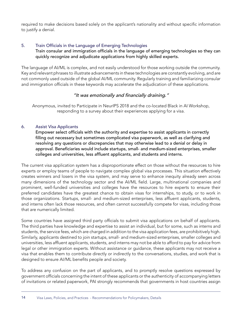required to make decisions based solely on the applicant's nationality and without specific information to justify a denial.

#### 5. Train Officials in the Language of Emerging Technologies Train consular and immigration officials in the language of emerging technologies so they can quickly recognize and adjudicate applications from highly skilled experts.

The language of AI/ML is complex, and not easily understood for those working outside the community. Key and relevant phrases to illustrate advancements in these technologies are constantly evolving, and are not commonly used outside of the global AI/ML community. Regularly training and familiarizing consular and immigration officials in these keywords may accelerate the adjudication of these applications.

#### "It was emotionally and financially draining."

Anonymous, invited to Participate in NeurIPS 2018 and the co-located Black in AI Workshop, responding to a survey about their experiences applying for a visa.

#### 6. Assist Visa Applicants

Empower select officials with the authority and expertise to assist applicants in correctly filling out necessary but sometimes complicated visa paperwork, as well as clarifying and resolving any questions or discrepancies that may otherwise lead to a denial or delay in approval. Beneficiaries would include startups, small- and medium-sized enterprises, smaller colleges and universities, less affluent applicants, and students and interns.

The current visa application system has a disproportionate effect on those without the resources to hire experts or employ teams of people to navigate complex global visa processes. This situation effectively creates winners and losers in the visa system, and may serve to enhance inequity already seen across many dimensions of the technology sector and the AI/ML field. Large, multinational companies and prominent, well-funded universities and colleges have the resources to hire experts to ensure their preferred candidates have the greatest chance to obtain visas for internships, to study, or to work in those organizations. Startups, small- and medium-sized enterprises, less affluent applicants, students, and interns often lack those resources, and often cannot successfully compete for visas, including those that are numerically limited.

Some countries have assigned third party officials to submit visa applications on behalf of applicants. The third parties have knowledge and expertise to assist an individual, but for some, such as interns and students, the service fees, which are charged in addition to the visa application fees, are prohibitively high. Similarly, applicants destined to join startups, small- and medium-sized enterprises, smaller colleges and universities, less affluent applicants, students, and interns may not be able to afford to pay for advice from legal or other immigration experts. Without assistance or guidance, these applicants may not receive a visa that enables them to contribute directly or indirectly to the conversations, studies, and work that is designed to ensure AI/ML benefits people and society.

To address any confusion on the part of applicants, and to promptly resolve questions expressed by government officials concerning the intent of these applicants or the authenticity of accompanying letters of invitations or related paperwork, PAI strongly recommends that governments in host countries assign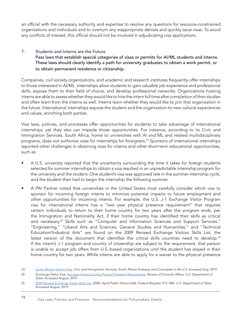an official with the necessary authority and expertise to resolve any questions for resource-constrained organizations and individuals and to overturn any inappropriate denials and quickly issue visas. To avoid any conflicts of interest, this official should not be involved in adjudicating visa applications.

#### 7. Students and Interns are the Future

Pass laws that establish special categories of visas or permits for AI/ML students and interns. These laws should clearly identify a path for university graduates to obtain a work permit, or to obtain permanent residence or citizenship.

Companies, civil society organizations, and academic and research institutes frequently offer internships to those interested in AI/ML. Internships allow students to gain valuable job experience and professional skills, expose them to their field of choice, and develop professional networks. Organizations hosting interns are able to assess whether they would like to hire the intern full time after completion of their studies and often learn from the interns as well. Interns learn whether they would like to join that organization in the future. International internships expose the student and the organization to new cultural experiences and values, enriching both parties.

Visa laws, policies, and processes offer opportunities for students to take advantage of international internships, yet they also can impede those opportunities. For instance, according to its Civic and Immigration Services, South Africa, home to universities with AI and ML and related multidisciplinary programs, does not authorize visas for internships for foreigners.23 Sponsors of international internships reported other challenges in obtaining visas for interns and other short-term educational opportunities, such as:

- A U.S. university reported that the uncertainty surrounding the time it takes for foreign students selected for summer internships to obtain a visa resulted in an unpredictable internship program for the university and the student. One student's visa was approved late in the summer internship cycle, and the student then had to begin the internship the following summer.
- A PAI Partner noted that universities in the United States must carefully consider which visa to sponsor for incoming foreign interns to minimize potential impacts to future employment and other opportunities for incoming interns. For example, the U.S. J-1 Exchange Visitor Program visa for international interns has a "two year physical presence requirement" that requires certain individuals to return to their home country for two years after the program ends, per the Immigration and Nationality Act, if their home country has identified their skills as critical and necessary.<sup>24</sup> Skills such as "Computer and Information Sciences and Support Services," "Engineering," "Liberal Arts and Sciences, General Studies and Humanities," and "Technical Education/Industrial Arts" are found on the 2009 Revised Exchange Visitors Skills List, the latest version of the document that identifies the critical skills countries need to develop.<sup>25</sup> If the intern's J-1 program and country of citizenship are subject to the requirement, that person is unable to accept job offers from U.S.-based organizations until the student has stayed in their home country for two years. While interns are able to apply for a waiver to the physical presence

<sup>23</sup> [South African Visitors Visa.](https://www.southafrica-newyork.net/homeaffairs/visitorsvisa.htm) Civic and Immigration Services, South African Embassy and Consulates in the U.S. Accessed Aug. 2019.

<sup>24</sup> Exchange Visitor Visa, [Two-year Home-Country Physical Presence Requirement](https://travel.state.gov/content/travel/en/us-visas/study/exchange.html). Bureau of Consular Affairs, U.S. Department of State. Accessed August, 2019.

<sup>25</sup> [2009 Revised Exchange Visitor Skills List.](https://www.govinfo.gov/content/pkg/FR-2009-04-30/pdf/E9-9657.pdf) (2009, April) Public Notice 6546. Federal Register V74, N82. U.S. Department of State. Accessed August, 2019.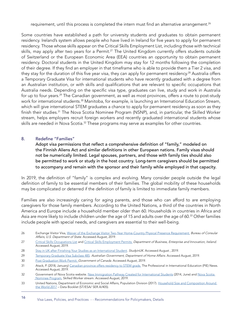requirement, until this process is completed the intern must find an alternative arrangement. $^{26}$ 

Some countries have established a path for university students and graduates to obtain permanent residency. Ireland's system allows people who have lived in Ireland for five years to apply for permanent residency. Those whose skills appear on the Critical Skills Employment List, including those with technical skills, may apply after two years for a Permit.<sup>27</sup> The United Kingdom currently offers students outside of Switzerland or the European Economic Area (EEA) countries an opportunity to obtain permanent residency. Doctoral students in the United Kingdom may stay for 12 months following the completion of their degree. If they find an employer in that timeframe who is able to provide them a Tier 2 visa, and they stay for the duration of this five year visa, they can apply for permanent residency.<sup>28</sup> Australia offers a Temporary Graduate Visa for international students who have recently graduated with a degree from an Australian institution, or with skills and qualifications that are relevant to specific occupations that Australia needs. Depending on the specific visa type, graduates can live, study and work in Australia for up to four years.<sup>29</sup> The Canadian government, as well as most provinces, offers a route to post-study work for international students.<sup>30</sup> Manitoba, for example, is launching an International Education Stream, which will give international STEM graduates a chance to apply for permanent residency as soon as they finish their studies.<sup>31</sup> The Nova Scotia Nominee Program (NSNP), and, in particular, the Skilled Worker stream, helps employers recruit foreign workers and recently graduated international students whose skills are needed in Nova Scotia.<sup>32</sup> These programs may serve as examples for other countries.

#### 8. Redefine "Families"

Adopt visa permissions that reflect a comprehensive definition of "family," modeled on the Finnish Aliens Act and similar definitions in other European nations. Family visas should not be numerically limited. Legal spouses, partners, and those with family ties should also be permitted to work or study in the host country. Long-term caregivers should be permitted to accompany and remain with the sponsor and their family while employed in that capacity.

In 2019, the definition of "family" is complex and evolving. Many consider people outside the legal definition of family to be essential members of their families. The global mobility of these households may be complicated or deterred if the definition of family is limited to immediate family members.

Families are also increasingly caring for aging parents, and those who can afford to are employing caregivers for those family members. According to the United Nations, a third of the countries in North America and Europe include a household member older than 60. Households in countries in Africa and Asia are more likely to include children under the age of 15 and adults over the age of 60.<sup>33</sup> Other families include people with special needs, and caregivers are essential to their well-being.

- 26 Exchange Visitor Visa, [Waiver of the Exchange Visitor Two-Year Home-Country Physical Presence Requirement.](https://travel.state.gov/content/travel/en/us-visas/study/exchange/waiver-of-the-exchange-visitor.html) Bureau of Consular Affairs, U.S. Department of State. Accessed August, 2019.
- 27 [Critical Skills Occupations List](https://dbei.gov.ie/en/What-We-Do/Workplace-and-Skills/Employment-Permits/Employment-Permit-Eligibility/Highly-Skilled-Eligible-Occupations-List/) and [Critical Skills Employment Permits.](https://dbei.gov.ie/en/What-We-Do/Workplace-and-Skills/Employment-Permits/Permit-Types/Critical-Skills-Employment-Permit/) Department of Business, Enterprise and Innovation, Ireland. Accessed August, 2019.
- 28 [Stay in UK after Finishing Your Studies as an International Student](https://www.studying-in-uk.org/stay-in-uk-after-finishing-your-studies-as-an-international-student/). StudyinUK. Accessed August, 2019.
- 29 [Temporary Graduate Visa Subclass 485](https://immi.homeaffairs.gov.au/visas/getting-a-visa/visa-listing/temporary-graduate-485). Australian Government, Department of Home Affairs. Accessed August, 2019.
- 30 [Post Graduation Work Permit.](https://www.canada.ca/en/immigration-refugees-citizenship/services/study-canada/work/after-graduation.html) Government of Canada. Accessed August, 2019.
- 31 Atack, P. (2018, January) [Canadian province offers residency to STEM grads.](https://thepienews.com/news/canadian-province-to-offer-stem-visa/) The Professional in International Education (PIE) News. Accessed August, 2019.
- 32 Government of Nova Scotia website. [New Immigration Pathway Created for International Students](https://novascotiaimmigration.com/new-immigration-pathway-created-for-international-students/) (2014, June) and Nova Scotia [Nominee Program](https://novascotiaimmigration.com/move-here/), Skilled Worker stream. Accessed August, 2019.
- 33 United Nations, Department of Economic and Social Affairs, Population Division (2017). [Household Size and Composition Around](https://www.un.org/en/development/desa/population/publications/pdf/ageing/household_size_and_composition_ around_the_world_2017_data_booklet.pdf)  [the World 2017](https://www.un.org/en/development/desa/population/publications/pdf/ageing/household_size_and_composition_ around_the_world_2017_data_booklet.pdf) – Data Booklet (ST/ESA/ SER.A/405).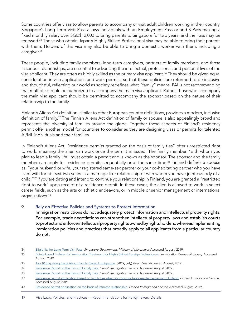Some countries offer visas to allow parents to accompany or visit adult children working in their country. Singapore's Long Term Visit Pass allows individuals with an Employment Pass or and S Pass making a fixed monthly salary over SGD\$12,000 to bring parents to Singapore for two years, and the Pass may be renewed.34 Those who obtain Japan's Highly Skilled Professional visa may be able to bring their parents with them. Holders of this visa may also be able to bring a domestic worker with them, including a caregiver.35

These people, including family members, long-term caregivers, partners of family members, and those in serious relationships, are essential to advancing the intellectual, professional, and personal lives of the visa applicant. They are often as highly skilled as the primary visa applicant.<sup>36</sup> They should be given equal consideration in visa applications and work permits, so that these policies are reformed to be inclusive and thoughtful, reflecting our world as society redefines what "family" means. PAI is not recommending that multiple people be authorized to accompany the main visa applicant. Rather, those who accompany the main visa applicant should be permitted to accompany the sponsor based on the nature of their relationship to the family.

Finland's Aliens Act definition, similar to other European country definitions, provides a modern, inclusive definition of family.<sup>37</sup> The Finnish Aliens Act definition of family or spouse is also appealingly broad and represents the diversity of families around the globe. Together these aspects of Finland's residency permit offer another model for countries to consider as they are designing visas or permits for talented AI/ML individuals and their families.

In Finland's Aliens Act, "residence permits granted on the basis of family ties" offer unrestricted right to work, meaning the alien can work once the permit is issued. The family member "with whom you plan to lead a family life" must obtain a permit and is known as the sponsor. The sponsor and the family member can apply for residence permits sequentially or at the same time.<sup>38</sup> Finland defines a spouse as, "your husband or wife, your registered same-sex partner or your co-habitating partner who you have lived with for at least two years in a marriage-like relationship or with whom you have joint custody of a child."<sup>39</sup> If you are dating and intend to continue your relationship in Finland, you are granted a "restricted right to work" upon receipt of a residence permit. In those cases, the alien is allowed to work in select career fields, such as the arts or athletic endeavors, or in middle or senior management or international organizations.40

#### 9. Rely on Effective Policies and Systems to Protect Information

Immigration restrictions do not adequately protect information and intellectual property rights. For example, trade negotiations can strengthen intellectual property laws and establish courts to protect and enforce intellectual property rights owned by rights holders, whereas implementing immigration policies and practices that broadly apply to all applicants from a particular country do not.

<sup>34</sup> [Eligibility for Long Term Visit Pass](https://www.mom.gov.sg/passes-and-permits/long-term-visit-pass/eligibility). Singapore Government. Ministry of Manpower. Accessed August, 2019.

<sup>35</sup> [Points-based Preferential Immigration Treatment for Highly Skilled Foreign Professionals. I](http://www.immi-moj.go.jp/newimmiact_3/en/index.html)mmigration Bureau of Japan,. Accessed August, 2019.

<sup>36</sup> [Top 10 Surprising Facts About Family-Based Immigration](https://www.boundless.com/family-based-immigration-report/). (2019, July) Boundless. Accessed August, 2019.

<sup>37</sup> [Residence Permit on the Basis of Family Ties,](https://enterfinland.fi/eServices/info/familytiespermit) Finnish Immigration Service. Accessed August, 2019.

<sup>38</sup> [Residence Permit on the Basis of Family Ties](https://enterfinland.fi/eServices/info/familytiespermit), Finnish Immigration Service. Accessed August, 2019.

[<sup>39</sup>](https://ieeexplore.ieee.org/document/844354 ) [Residence permit application based on family ties when your spouse has a residence permit in Finland.](https://migri.fi/en/spouse-in-finland-with-a-residence-permit) Finnish Immigration Service. Accessed August, 2019.

<sup>40</sup> [Residence permit application on the basis of intimate relationship](https://migri.fi/en/intimate-relationship). Finnish Immigration Service. Accessed August, 2019.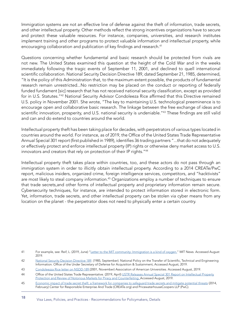Immigration systems are not an effective line of defense against the theft of information, trade secrets, and other intellectual property. Other methods reflect the strong incentives organizations have to secure and protect these valuable resources. For instance, companies, universities, and research institutes implement training and other programs to protect valuable information and intellectual property, while encouraging collaboration and publication of key findings and research.<sup>41</sup>

Questions concerning whether fundamental and basic research should be protected from rivals are not new. The United States examined this question at the height of the Cold War and in the weeks immediately following the tragic events of September 11, 2001, and declined to quell international scientific collaboration. National Security Decision Directive 189, dated September 21, 1985, determined, "It is the policy of this Administration that, to the maximum extent possible, the products of fundamental research remain unrestricted...No restriction may be placed on the conduct or reporting of federally funded fundament [sic] research that has not received national security classification, except as provided for in U.S. Statutes."42 National Security Advisor Condoleeza Rice affirmed that this Directive remained U.S. policy in November 2001. She wrote, "The key to maintaining U.S. technological preeminence is to encourage open and collaborative basic research. The linkage between the free exchange of ideas and scientific innovation, prosperity, and U.S. national security is undeniable."<sup>43</sup> These findings are still valid and can and do extend to countries around the world.

Intellectual property theft has been taking place for decades, with perpetrators of various types located in countries around the world. For instance, as of 2019, the Office of the United States Trade Representative Annual Special 301 report (first published in 1989), identifies 36 trading partners "...that do not adequately or effectively protect and enforce intellectual property (IP) rights or otherwise deny market access to U.S. innovators and creators that rely on protection of their IP rights."44

Intellectual property theft takes place within countries, too, and these actors do not pass through an immigration system in order to illicitly obtain intellectual property. According to a 2014 CREATe/PwC report, malicious insiders, organized crime, foreign intelligence services, competitors, and "hacktivists" are most likely to steal company information.<sup>45</sup> Organizations employ a number of techniques to ensure that trade secrets,and other forms of intellectual property and proprietary information remain secure. Cybersecurity techniques, for instance, are intended to protect information stored in electronic form. Yet, information, trade secrets, and other intellectual property can be stolen via cyber means from any location on the planet - the perpetrator does not need to physically enter a certain country.

<sup>41</sup> For example, see: Reif, L. (2019, June) ["Letter to the MIT community: Immigration is a kind of oxygen.](http://news.mit.edu/2019/letter-community-immigration-is-oxygen-0625)" MIT News. Accessed August 2019.

Az [National Security Decision Directive 189](https://www.acq.osd.mil/dpap/dars/pgi/docs/National_Security_Decision_Directive_189.pdf). (1985, September). National Policy on the Transfer of Scientific, Technical and Engineering Information. Office of the Under Secretary of Defense for Acquisition & Sustainment, Accessed August, 2019.

<sup>43</sup> [Condoleezza Rice letter on NSDD-189](https://www.aau.edu/sites/default/files/AAU%20Files/Key%20Issues/Science%20%26%20Security/Condoleezza_Rice_Letter_on_NSDD-189_2001.pdf) (2001, November) Association of American Universities. Accessed August, 2019.

<sup>44</sup> Office of the United States Trade Representative. (2019, April) [USTR Releases Annual Special 301 Report on Intellectual Property](https://ustr.gov/about-us/policy-offices/press-office/press-releases/2019/april/ustr-releases-annual-special-301) [Protection and Review of Notorious Markets for Piracy and Counterfeiting.](https://ustr.gov/about-us/policy-offices/press-office/press-releases/2019/april/ustr-releases-annual-special-301) Accessed August, 2019.

<sup>45</sup> [Economic impact of trade secret theft: a framework for companies to safeguard trade secrets and mitigate potential threats](https://create.org/wp-content/uploads/2014/07/CREATe.org-PwC-Trade-Secret-Theft-FINAL-Feb-2014_01.pdf) (2014, February) Center for Responsible Enterprise And Trade (CREATe.org) and PricewaterhouseCoopers LLP (PwC).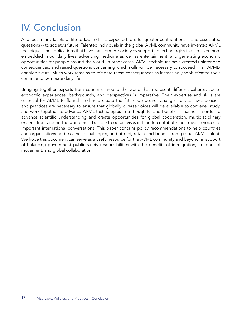## IV. Conclusion

AI affects many facets of life today, and it is expected to offer greater contributions -- and associated questions -- to society's future. Talented individuals in the global AI/ML community have invented AI/ML techniques and applications that have transformed society by supporting technologies that are ever more embedded in our daily lives, advancing medicine as well as entertainment, and generating economic opportunities for people around the world. In other cases, AI/ML techniques have created unintended consequences, and raised questions concerning which skills will be necessary to succeed in an AI/MLenabled future. Much work remains to mitigate these consequences as increasingly sophisticated tools continue to permeate daily life.

Bringing together experts from countries around the world that represent different cultures, socioeconomic experiences, backgrounds, and perspectives is imperative. Their expertise and skills are essential for AI/ML to flourish and help create the future we desire. Changes to visa laws, policies, and practices are necessary to ensure that globally diverse voices will be available to convene, study, and work together to advance AI/ML technologies in a thoughtful and beneficial manner. In order to advance scientific understanding and create opportunities for global cooperation, multidisciplinary experts from around the world must be able to obtain visas in time to contribute their diverse voices to important international conversations. This paper contains policy recommendations to help countries and organizations address these challenges, and attract, retain and benefit from global AI/ML talent. We hope this document can serve as a useful resource for the AI/ML community and beyond, in support of balancing government public safety responsibilities with the benefits of immigration, freedom of movement, and global collaboration.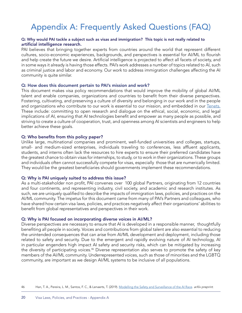## Appendix A: Frequently Asked Questions (FAQ)

#### Q: Why would PAI tackle a subject such as visas and immigration? This topic is not really related to artificial intelligence research.

PAI believes that bringing together experts from countries around the world that represent different cultures, socio-economic experiences, backgrounds, and perspectives is essential for AI/ML to flourish and help create the future we desire. Artificial intelligence is projected to affect all facets of society, and in some ways it already is having those effects. PAI's work addresses a number of topics related to AI, such as criminal justice and labor and economy. Our work to address immigration challenges affecting the AI community is quite similar.

#### Q: How does this document pertain to PAI's mission and work?

This document makes visa policy recommendations that would improve the mobility of global AI/ML talent and enable companies, organizations and countries to benefit from their diverse perspectives. Fostering, cultivating, and preserving a culture of diversity and belonging in our work and in the people and organizations who contribute to our work is essential to our mission, and embedded in our Tenets. These include: committing to open research and dialogue on the ethical, social, economic, and legal implications of AI, ensuring that AI technologies benefit and empower as many people as possible, and striving to create a culture of cooperation, trust, and openness among AI scientists and engineers to help better achieve these goals.

#### Q: Who benefits from this policy paper?

Unlike large, multinational companies and prominent, well-funded universities and colleges, startups, small- and medium-sized enterprises, individuals traveling to conferences, less affluent applicants, students, and interns often lack the resources to hire experts to ensure their preferred candidates have the greatest chance to obtain visas for internships, to study, or to work in their organizations. These groups and individuals often cannot successfully compete for visas, especially those that are numerically limited. They would be the greatest beneficiaries should governments implement these recommendations.

#### Q: Why is PAI uniquely suited to address this issue?

As a multi-stakeholder non profit, PAI convenes over 100 global Partners, originating from 12 countries and four continents, and representing industry, civil society, and academic and research institutes. As such, we are uniquely qualified to describe the impacts of immigration laws, policies, and practices on the AI/ML community. The impetus for this document came from many of PAI's Partners and colleagues, who have shared how certain visa laws, policies, and practices negatively affect their organizations' abilities to benefit from global representatives and perspectives in their work.

#### Q: Why is PAI focused on incorporating diverse voices in AI/ML?

Diverse perspectives are necessary to ensure that AI is developed in a responsible manner, thoughtfully benefiting all people in society. Voices and contributions from global talent are also essential to reducing the unintended consequences that can arise from AI/ML development and deployment, including those related to safety and security. Due to the emergent and rapidly evolving nature of AI technology, AI in particular engenders high impact AI safety and security risks, which can be mitigated by increasing the diversity of participating voices.<sup>46</sup> Diverse representation also serves to promote the safety of key members of the AI/ML community. Underrepresented voices, such as those of minorities and the LGBTQ community, are important as we design AI/ML systems to be inclusive of all populations.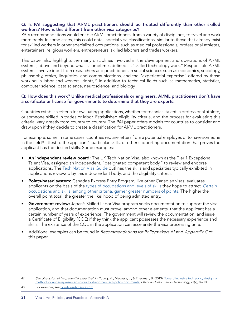#### Q: Is PAI suggesting that AI/ML practitioners should be treated differently than other skilled workers? How is this different from other visa categories?

PAI's recommendations would enable AI/ML practitioners, from a variety of disciplines, to travel and work more freely. In some cases, this could entail special visa classifications, similar to those that already exist for skilled workers in other specialized occupations, such as medical professionals, professional athletes, entertainers, religious workers, entrepreneurs, skilled laborers and trades workers.

This paper also highlights the many disciplines involved in the development and operations of AI/ML systems, above and beyond what is sometimes defined as "skilled technology work." Responsible AI/ML systems involve input from researchers and practitioners in social sciences such as economics, sociology, philosophy, ethics, linguistics, and communications, and the "experiential expertise" offered by those working in labor and workers' rights,<sup>47</sup> in addition to technical fields such as mathematics, statistics, computer science, data science, neuroscience, and biology.

#### Q: How does this work? Unlike medical professionals or engineers, AI/ML practitioners don't have a certificate or license for governments to determine that they are experts.

Countries establish criteria for evaluating applications, whether for technical talent, a professional athlete, or someone skilled in trades or labor. Established eligibility criteria, and the process for evaluating this criteria, vary greatly from country to country. The PAI paper offers models for countries to consider and draw upon if they decide to create a classification for AI/ML practitioners.

For example, some In some cases, countries require letters from a potential employer, or to have someone in the field<sup>48</sup> attest to the applicant's particular skills, or other supporting documentation that proves the applicant has the desired skills. Some examples:

- An independent review board: The [UK Tech Nation Visa,](https://technation.io/visa/) also known as the Tier 1 Exceptional Talent Visa, assigned an independent, "designated competent body," to review and endorse applications. The [Tech Nation Visa Guide](https://35z8e83m1ih83drye280o9d1-wpengine.netdna-ssl.com/wp-content/uploads/2019/05/Tech-Nation-Visa-GUIDE-04-2019.pdf) outlines the skills and specialties typically exhibited in applications reviewed by this independent body, and the eligibility criteria.
- Points-based system: Canada's [Express Entry Program](https://www.canada.ca/en/immigration-refugees-citizenship/services/immigrate-canada/express-entry/works.html), like other Canadian visas, evaluates applicants on the basis of the [types of occupations and levels of skills](https://www.canada.ca/en/immigration-refugees-citizenship/services/immigrate-canada/express-entry/eligibility/find-national-occupation-code.html) they hope to attract. Certain [occupations and skills, among other criteria, garner greater numbers of points.](https://www.canada.ca/en/immigration-refugees-citizenship/services/immigrate-canada/express-entry/eligibility/criteria-comprehensive-ranking-system.html) The higher the overall point total, the greater the likelihood of being admitted entry.
- Government review: Japan's [Skilled Labor Visa program](http://www.japanvisa.com/visas/japan-skilled-labor-visa) seeks documentation to support the visa application, and that documentation must prove, among other elements, that the applicant has a certain number of years of experience. The government will review the documentation, and issue a Certificate of Eligibility (COE) if they think the applicant possesses the necessary experience and skills. The existence of the COE in the application can accelerate the visa processing time.
- Additional examples can be found in *Recommendations for Policymakers #1* and *Appendix C* of this paper.

48 For example, see [SportsvisaAmerica.com](http://www.sportvisaamerica.com/)

<sup>47</sup> See discussion of "experiential expertise" in: Young, M., Magassa, L., & Friedman, B. (2019). Toward inclusive tech policy design: a [method for underrepresented voices to strengthen tech policy documents.](https://techpolicylab.uw.edu/wp-content/uploads/2019/03/TowardInclusiveTechPolicyDesign.pdf) Ethics and Information Technology, 21(2), 89-103.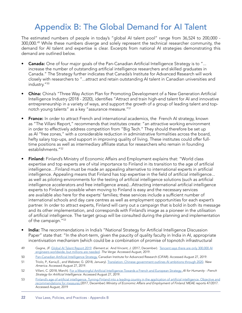### Appendix B: The Global Demand for AI Talent

The estimated numbers of people in today's "global AI talent pool" range from 36,524 to 200,000 - 300,000.<sup>49</sup> While these numbers diverge and solely represent the technical researcher community, the demand for AI talent and expertise is clear. Excerpts from national AI strategies demonstrating this demand are outlined below.

- **Canada:** One of four major goals of the Pan-Canadian Artificial Intelligence Strategy is to "... increase the number of outstanding artificial intelligence researchers and skilled graduates in Canada." The Strategy further indicates that Canada's Institute for Advanced Research will work closely with researchers to "...attract and retain outstanding AI talent in Canadian universities and industry."<sup>50</sup>
- China: China's "Three Way Action Plan for Promoting Development of a New Generation Artificial Intelligence Industry (2018 - 2020), identifies "Attract and train high-end talent for AI and innovative entrepreneurship in a variety of ways, and support the growth of a group of leading talent and topnotch young talents" as a key "assurance measure."<sup>51</sup>
- **France:** In order to attract French and international academics, the French AI strategy, known as "The Villani Report," recommends that institutes create: "an attractive working environment in order to effectively address competition from "Big Tech." They should therefore be set up as AI "free zones," with a considerable reduction in administrative formalities across the board, hefty salary top-ups, and support in improving quality of living. These institutes could offer fulltime positions as well as intermediary affiliate status for researchers who remain in founding establishments."<sup>52</sup>
- Finland: Finland's Ministry of Economic Affairs and Employment explains that: "World class expertise and top experts are of vital importance to Finland in its transition to the age of artificial intelligence…Finland must be made an appealing alternative to international experts in artificial intelligence. Appealing means that Finland has top expertise in the field of artificial intelligence... as well as piloting environments for the testing of artificial intelligence solutions (such as artificial intelligence accelerators and free intelligence areas)...Attracting international artificial intelligence experts to Finland is possible when moving to Finland is easy and the necessary services are available also here for the experts' families; these services include a sufficient number of international schools and day care centres as well as employment opportunities for each expert's partner. In order to attract experts, Finland will carry out a campaign that is bold in both its message and its other implementation, and corresponds with Finland's image as a pioneer in the utilisation of artificial intelligence. The target group will be consulted during the planning and implementation of the campaign."53
- India: The recommendations in India's "National Strategy for Artificial Intelligence Discussion Paper" state that: "In the short-term, given the paucity of quality faculty in India in AI, appropriate incentivisation mechanism (which could be a combination of promise of topnotch infrastructural
- 49 Gagne, JF. [Global AI Talent Report 2019](https://jfgagne.ai/talent-2019/). Element.ai. And Vincent, J. (2017, December). [Tencent says there are only 300,000 AI](https://www.theverge.com/2017/12/5/16737224/global-ai-talent-shortfall-tencent-report) [engineers worldwide, but millions are needed](https://www.theverge.com/2017/12/5/16737224/global-ai-talent-shortfall-tencent-report). The Verge. Accessed August, 2019.
- 50 [Pan-Canadian Artificial Intelligence Strategy.](https://www.cifar.ca/ai/pan-canadian-artificial-intelligence-strategy) Canadian Institute for Advanced Research (CIFAR). Accessed August 27, 2019.
- 51 Triolo, P., Kania,E., and Webster, G. (2018, January). [Translation: Chinese government outlines AI ambitions through 2020](https://www.newamerica.org/cybersecurity-initiative/digichina/blog/translation-chinese-government-outlines-ai-ambitions-through-2020/). New America. Accessed August 27, 2019.
- 52 Villani, C. (2018, March). [For a Meaningful Artificial Intelligence-Towards a French and European Strategy.](https://www.aiforhumanity.fr/pdfs/MissionVillani_Report_ENG-VF.pdf) AI for Humanity French Strategy for Artificial Intelligence. Accessed August 27, 2019.
- 53 [Finland's age of artificial intelligence. Turning Finland into a leading country in the application of artificial intelligence. Objective and](http://julkaisut.valtioneuvosto.fi/bitstream/handle/10024/160391/TEMrap_47_2017_verkkojulkaisu.pdf?sequence=1&isAllowed=y) [recommendations for measures.](http://julkaisut.valtioneuvosto.fi/bitstream/handle/10024/160391/TEMrap_47_2017_verkkojulkaisu.pdf?sequence=1&isAllowed=y)(2017, December) Ministry of Economic Affairs and Employment of Finland. MEAE reports 47/2017. Accessed August, 2019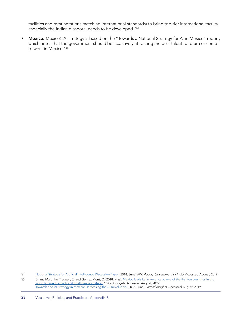facilities and remunerations matching international standards) to bring top-tier international faculty, especially the Indian diaspora, needs to be developed."54

Mexico: Mexico's AI strategy is based on the "Towards a National Strategy for AI in Mexico" report, which notes that the government should be "...actively attracting the best talent to return or come to work in Mexico."<sup>55</sup>

54 [National Strategy for Artificial Intelligence Discussion Paper \(](http://niti.gov.in/writereaddata/files/document_publication/NationalStrategy-for-AI-Discussion-Paper.pdf)2018, June) NITI Aayog, Government of India. Accessed August, 2019.

55 Emma Martinho-Truswell, E. and Gomez Mont, C. (2018, May). [Mexico leads Latin America as one of the first ten countries in the](https://www.oxfordinsights.com/insights/2018/5/24/mexico-leads-latin-america-as-one-of-the-first-ten-countries-in-the-world-to-launch-an-artificial-intelligence-strategy) [world to launch an artificial intelligence strategy.](https://www.oxfordinsights.com/insights/2018/5/24/mexico-leads-latin-america-as-one-of-the-first-ten-countries-in-the-world-to-launch-an-artificial-intelligence-strategy) Oxford Insights. Accessed August, 2019. [Towards and AI Strategy in Mexico: Harnessing the AI Revolution.](https://www.oxfordinsights.com/mexico/) (2018, June) Oxford Insights. Accessed August, 2019.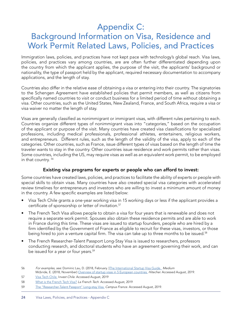### Appendix C: Background Information on Visa, Residence and Work Permit Related Laws, Policies, and Practices

Immigration laws, policies, and practices have not kept pace with technology's global reach. Visa laws, policies, and practices vary among countries, are are often further differentiated depending upon the country from which the applicant applies, the purpose of the visit, the applicants' background or nationality, the type of passport held by the applicant, required necessary documentation to accompany applications, and the length of stay.

Countries also differ in the relative ease of obtaining a visa or entering into their country. The signatories to the Schengen Agreement have established policies that permit members, as well as citizens from specifically named countries to visit or conduct business for a limited period of time without obtaining a visa. Other countries, such as the United States, New Zealand, France, and South Africa, require a visa or visa waiver no matter the length of stay.

Visas are generally classified as nonimmigrant or immigrant visas, with different rules pertaining to each. Countries organize different types of nonimmigrant visas into "categories," based on the occupation of the applicant or purpose of the visit. Many countries have created visa classifications for specialized professions, including medical professionals, professional athletes, entertainers, religious workers, and entrepreneurs. Different rules, such as the length of the validity of the visa, apply to each of the categories. Other countries, such as France, issue different types of visas based on the length of time the traveler wants to stay in the country. Other countries issue residence and work permits rather than visas. Some countries, including the US, may require visas as well as an equivalent work permit, to be employed in that country. 56

#### Existing visa programs for experts or people who can afford to invest:

Some countries have created laws, policies, and practices to facilitate the ability of experts or people with special skills to obtain visas. Many countries have also created special visa categories with accelerated review timelines for entrepreneurs and investors who are willing to invest a minimum amount of money in the country. A few specific examples are listed below:

- Visa Tech Chile grants a one-year working visa in 15 working days or less if the applicant provides a certificate of sponsorship or letter of invitation.<sup>57</sup>
- The French Tech Visa allows people to obtain a visa for four years that is renewable and does not require a separate work permit. Spouses also obtain these residence permits and are able to work in France during this time. These visas are issued to startup founders, people who are hired by a firm identified by the Government of France as eligible to recruit for these visas, investors, or those being hired to join a venture capital firm. The visa can take up to three months to be issued.<sup>58</sup>
- The French Researcher-Talent Passport Long-Stay Visa is issued to researchers, professors conducting research, and doctoral students who have an agreement governing their work, and can be issued for a year or four years.<sup>59</sup>

<sup>56</sup> For examples, see: Dominic Lau, D. (2018, February. )[The International Startup Visa Guide.](https://medium.com/@dominiclau/the-international-startup-visa-guide-eb01bd1a46e8) Medium

Mcbride, E. (2018, November) [Overview of startup visas in 5 European countries.](https://hitecher.com/business-and-startups/startup-visa-review/) Hitecher. Accessed August, 2019.

<sup>57</sup> [Visa Tech Chile.](https://investchile.gob.cl/visa-tech-chile/) Invest Chile. Accessed August, 2019

<sup>58</sup> [What is the French Tech Visa?](https://visa.lafrenchtech.com/) La French Tech. Accessed August, 2019

<sup>59</sup> [The "Researcher-Talent Passport" Long-stay Visa.](https://www.campusfrance.org/en/talent-passport-long-visa) Campus France. Accessed August, 2019.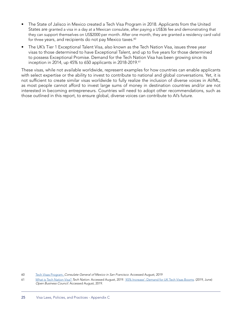- The State of Jalisco in Mexico created a Tech Visa Program in 2018. Applicants from the United States are granted a visa in a day at a Mexican consulate, after paying a US\$36 fee and demonstrating that they can support themselves on US\$2000 per month. After one month, they are granted a residency card valid for three years, and recipients do not pay Mexico taxes.<sup>60</sup>
- The UK's Tier 1 Exceptional Talent Visa, also known as the Tech Nation Visa, issues three year visas to those determined to have Exceptional Talent, and up to five years for those determined to possess Exceptional Promise. Demand for the Tech Nation Visa has been growing since its inception in 2014, up 45% to 650 applicants in 2018-2019.<sup>61</sup>

These visas, while not available worldwide, represent examples for how countries can enable applicants with select expertise or the ability to invest to contribute to national and global conversations. Yet, it is not sufficient to create similar visas worldwide to fully realize the inclusion of diverse voices in AI/ML, as most people cannot afford to invest large sums of money in destination countries and/or are not interested in becoming entrepreneurs. Countries will need to adopt other recommendations, such as those outlined in this report, to ensure global, diverse voices can contribute to AI's future.

<sup>60</sup> [Tech Visas Program.](https://consulmex.sre.gob.mx/sanfrancisco/images/VISAS_TECH_lowok.pdf) Consulate General of Mexico in San Francisco. Accessed August, 2019

<sup>61</sup> [What is Tech Nation Visa?](https://technation.io/visa/) Tech Nation. Accessed August, 2019. ['45% Increase': Demand for UK Tech Visas Booms.](https://www.openbusinesscouncil.org/45-increase-demand-for-uk-tech-visas-booms/) (2019, June) Open Business Council. Accessed August, 2019.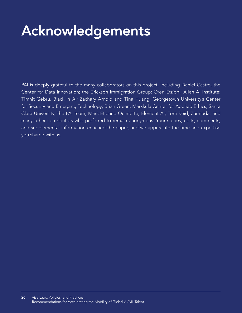# Acknowledgements

PAI is deeply grateful to the many collaborators on this project, including Daniel Castro, the Center for Data Innovation; the Erickson Immigration Group; Oren Etzioni, Allen AI Institute; Timnit Gebru, Black in AI; Zachary Arnold and Tina Huang, Georgetown University's Center for Security and Emerging Technology; Brian Green, Markkula Center for Applied Ethics, Santa Clara University; the PAI team; Marc-Etienne Ouimette, Element AI; Tom Reid, Zarmada; and many other contributors who preferred to remain anonymous. Your stories, edits, comments, and supplemental information enriched the paper, and we appreciate the time and expertise you shared with us.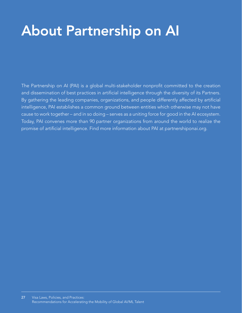# About Partnership on AI About Partnership on AI

The Partnership on AI (PAI) is a global multi-stakeholder nonprofit committed to the creation and dissemination of best practices in artificial intelligence through the diversity of its Partners. By gathering the leading companies, organizations, and people differently affected by artificial intelligence, PAI establishes a common ground between entities which otherwise may not have cause to work together – and in so doing – serves as a uniting force for good in the AI ecosystem. Today, PAI convenes more than 90 partner organizations from around the world to realize the promise of artificial intelligence. Find more information about PAI at partnershiponai.org.